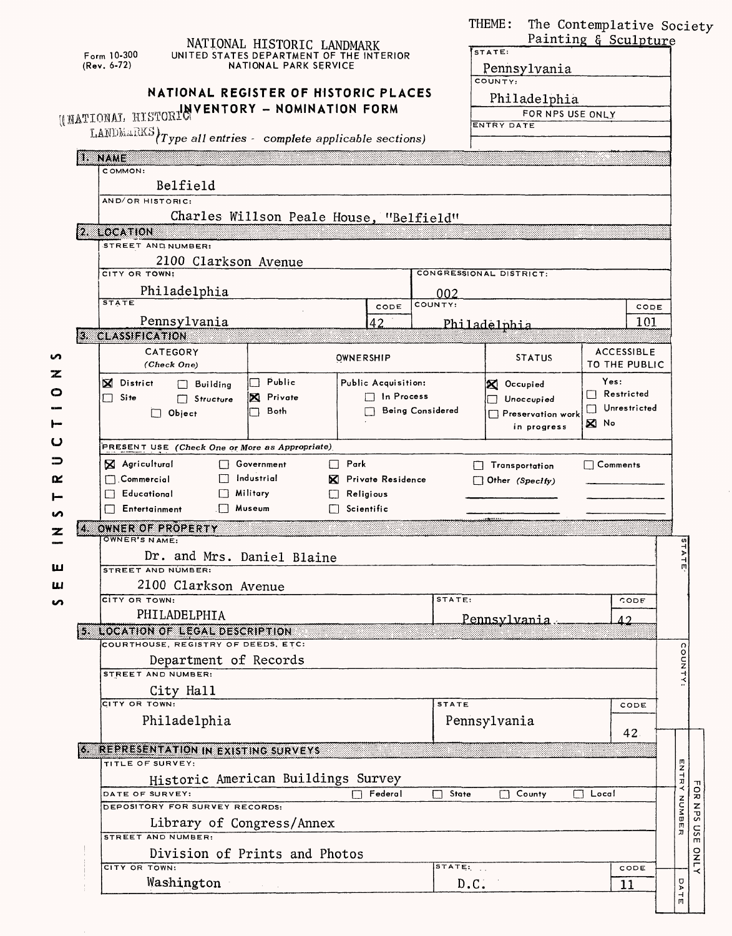|         | NATIONAL HISTORIC LANDMARK<br>Form 10-300<br>UNITED STATES DEPARTMENT OF THE INTERIOR<br>$(Rev. 6-72)$<br>NATIONAL PARK SERVICE<br>NATIONAL REGISTER OF HISTORIC PLACES |                                                                                                | THEME:<br>STATE:<br>Pennsylvania<br>COUNTY:<br>Philadelphia | The Contemplative Society<br>Painting & Sculpture |  |  |  |  |
|---------|-------------------------------------------------------------------------------------------------------------------------------------------------------------------------|------------------------------------------------------------------------------------------------|-------------------------------------------------------------|---------------------------------------------------|--|--|--|--|
|         | (INATIONAL HISTORIC VENTORY - NOMINATION FORM                                                                                                                           |                                                                                                | FOR NPS USE ONLY<br><b>ENTRY DATE</b>                       |                                                   |  |  |  |  |
|         | LANDMARKS $\left\{Type \text{ all entries - complete applicable sections}\right\}$                                                                                      |                                                                                                |                                                             |                                                   |  |  |  |  |
|         | U NAME                                                                                                                                                                  |                                                                                                |                                                             |                                                   |  |  |  |  |
|         | COMMON:                                                                                                                                                                 |                                                                                                |                                                             |                                                   |  |  |  |  |
|         | Belfield<br>AND/OR HISTORIC:                                                                                                                                            |                                                                                                |                                                             |                                                   |  |  |  |  |
|         | Charles Willson Peale House, "Belfield"                                                                                                                                 |                                                                                                |                                                             |                                                   |  |  |  |  |
|         | 2. LOCATION                                                                                                                                                             |                                                                                                |                                                             |                                                   |  |  |  |  |
|         | STREET AND NUMBER:                                                                                                                                                      |                                                                                                |                                                             |                                                   |  |  |  |  |
|         | 2100 Clarkson Avenue<br>CITY OR TOWN:                                                                                                                                   |                                                                                                | CONGRESSIONAL DISTRICT:                                     |                                                   |  |  |  |  |
|         | Philadelphia                                                                                                                                                            |                                                                                                | 002                                                         |                                                   |  |  |  |  |
|         | <b>STATE</b>                                                                                                                                                            | COUNTY:<br>CODE                                                                                |                                                             | CODE                                              |  |  |  |  |
|         | Pennsylvania<br>3 CLASSIFICATION                                                                                                                                        | 42                                                                                             | Philadelphia                                                | 101                                               |  |  |  |  |
|         | CATEGORY                                                                                                                                                                |                                                                                                |                                                             | <b>ACCESSIBLE</b>                                 |  |  |  |  |
| n<br>z  | (Check One)                                                                                                                                                             | OWNERSHIP                                                                                      | <b>STATUS</b>                                               | TO THE PUBLIC                                     |  |  |  |  |
| O       | Public<br><b>X</b> District<br>$\Box$ Building                                                                                                                          | Public Acquisition:                                                                            | X Occupied                                                  | Yes:                                              |  |  |  |  |
|         | X Private<br>Site<br>n.<br>$\Box$ Structure<br>Both                                                                                                                     | $\Box$ In Process                                                                              | Unoccupied                                                  | Restricted<br>$\Box$<br>Unrestricted              |  |  |  |  |
|         |                                                                                                                                                                         | <b>Being Considered</b><br>$\Box$ Object<br>Preservation work<br>$\boxtimes$ No<br>in progress |                                                             |                                                   |  |  |  |  |
| ပ       | PRESENT USE (Check One or More as Appropriate)                                                                                                                          |                                                                                                |                                                             |                                                   |  |  |  |  |
| ⊃       | X Agricultural<br>$\Box$ Park<br>□ Government                                                                                                                           |                                                                                                | Transportation                                              | $\Box$ Comments                                   |  |  |  |  |
| œ       | $\Box$ Industrial<br>$\Box$ Commercial<br><b>X</b> Private Residence<br>$\Box$ Other (Specify)<br><b>Fducational</b><br>$\Box$ Military<br>Religious                    |                                                                                                |                                                             |                                                   |  |  |  |  |
|         |                                                                                                                                                                         |                                                                                                |                                                             |                                                   |  |  |  |  |
|         | □ Museum<br>$\Box$ Entertainment                                                                                                                                        | $\Box$ Scientific                                                                              |                                                             |                                                   |  |  |  |  |
| K.<br>z | OWNER OF PROPERTY<br>OWNER'S NAME:                                                                                                                                      |                                                                                                |                                                             |                                                   |  |  |  |  |
|         | Dr. and Mrs. Daniel Blaine                                                                                                                                              |                                                                                                |                                                             | $\blacktriangleright$                             |  |  |  |  |
|         | STREET AND NUMBER:                                                                                                                                                      |                                                                                                |                                                             |                                                   |  |  |  |  |
| Ш<br>n  | 2100 Clarkson Avenue<br>CITY OR TOWN:                                                                                                                                   |                                                                                                | STATE:                                                      | CODE                                              |  |  |  |  |
|         | PHILADELPHIA                                                                                                                                                            |                                                                                                | Pennsylvania                                                | $\Delta$ 2                                        |  |  |  |  |
|         | <b>5. LOCATION OF LEGAL DESCRIPTION</b>                                                                                                                                 |                                                                                                |                                                             |                                                   |  |  |  |  |
|         | COURTHOUSE, REGISTRY OF DEEDS, ETC:                                                                                                                                     |                                                                                                |                                                             | coun                                              |  |  |  |  |
|         | Department of Records<br>STREET AND NUMBER:                                                                                                                             |                                                                                                |                                                             |                                                   |  |  |  |  |
|         | City Hall                                                                                                                                                               |                                                                                                |                                                             |                                                   |  |  |  |  |
|         | CITY OR TOWN:                                                                                                                                                           | <b>STATE</b>                                                                                   | CODE                                                        |                                                   |  |  |  |  |
|         | Philadelphia                                                                                                                                                            |                                                                                                | Pennsylvania                                                | 42.                                               |  |  |  |  |
|         | 6 REPRESENTATION IN EXISTING SURVEYS                                                                                                                                    |                                                                                                |                                                             |                                                   |  |  |  |  |
|         | TITLE OF SURVEY:                                                                                                                                                        |                                                                                                |                                                             | ロコトロ                                              |  |  |  |  |
|         | Historic American Buildings Survey<br>DATE OF SURVEY:<br>Federal<br>State<br>П<br>Local<br>County<br>П                                                                  |                                                                                                |                                                             |                                                   |  |  |  |  |
|         | DEPOSITORY FOR SURVEY RECORDS:<br>Library of Congress/Annex                                                                                                             |                                                                                                |                                                             |                                                   |  |  |  |  |
|         |                                                                                                                                                                         |                                                                                                |                                                             |                                                   |  |  |  |  |
|         | STREET AND NUMBER:                                                                                                                                                      |                                                                                                |                                                             | $\overline{s}$<br>$\pi$<br>m                      |  |  |  |  |
|         | Division of Prints and Photos<br>CITY OR TOWN:                                                                                                                          |                                                                                                | STATE                                                       | <b>ATNO</b><br>CODE                               |  |  |  |  |
|         | Washington                                                                                                                                                              |                                                                                                | D.C.                                                        | σ<br>11                                           |  |  |  |  |
|         |                                                                                                                                                                         |                                                                                                |                                                             | $\blacktriangleright$<br>$\mathcal{A}$<br>Ш       |  |  |  |  |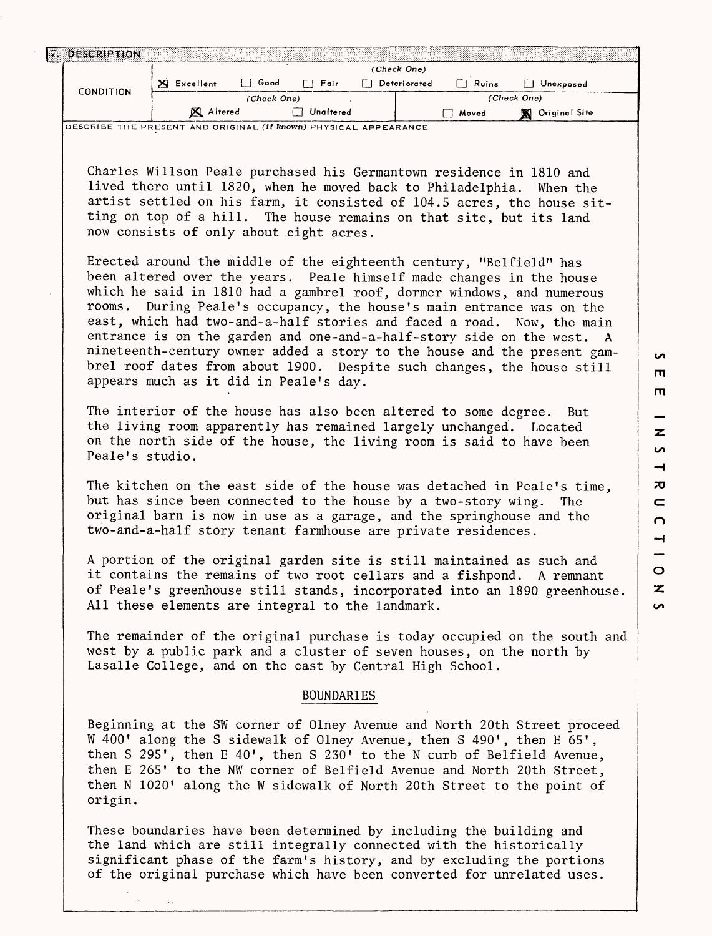|                                                                                                                                                                                                                                         |                                                                                                                                                                                                                                                                                                                                                                                                                                                                                                                                                                                                                                                    | (Check One)                 |              |                        |  |  |  |  |  |
|-----------------------------------------------------------------------------------------------------------------------------------------------------------------------------------------------------------------------------------------|----------------------------------------------------------------------------------------------------------------------------------------------------------------------------------------------------------------------------------------------------------------------------------------------------------------------------------------------------------------------------------------------------------------------------------------------------------------------------------------------------------------------------------------------------------------------------------------------------------------------------------------------------|-----------------------------|--------------|------------------------|--|--|--|--|--|
|                                                                                                                                                                                                                                         | $\Box$ Good<br>X Excellent                                                                                                                                                                                                                                                                                                                                                                                                                                                                                                                                                                                                                         | $\Box$ Fair<br>Deteriorated | $\Box$ Ruins | Unexposed              |  |  |  |  |  |
| <b>CONDITION</b>                                                                                                                                                                                                                        | (Check One)                                                                                                                                                                                                                                                                                                                                                                                                                                                                                                                                                                                                                                        |                             | (Check One)  |                        |  |  |  |  |  |
|                                                                                                                                                                                                                                         | X Altered                                                                                                                                                                                                                                                                                                                                                                                                                                                                                                                                                                                                                                          | Unaltered                   | □ Moved      | <b>X</b> Original Site |  |  |  |  |  |
| DESCRIBE THE PRESENT AND ORIGINAL <i>(if known)</i> PHYSICAL APPEARANCE                                                                                                                                                                 |                                                                                                                                                                                                                                                                                                                                                                                                                                                                                                                                                                                                                                                    |                             |              |                        |  |  |  |  |  |
|                                                                                                                                                                                                                                         | Charles Willson Peale purchased his Germantown residence in 1810 and<br>lived there until 1820, when he moved back to Philadelphia. When the<br>artist settled on his farm, it consisted of 104.5 acres, the house sit-<br>ting on top of a hill. The house remains on that site, but its land<br>now consists of only about eight acres.                                                                                                                                                                                                                                                                                                          |                             |              |                        |  |  |  |  |  |
|                                                                                                                                                                                                                                         | Erected around the middle of the eighteenth century, "Belfield" has<br>been altered over the years. Peale himself made changes in the house<br>which he said in 1810 had a gambrel roof, dormer windows, and numerous<br>rooms. During Peale's occupancy, the house's main entrance was on the<br>east, which had two-and-a-half stories and faced a road. Now, the main<br>entrance is on the garden and one-and-a-half-story side on the west. A<br>nineteenth-century owner added a story to the house and the present gam-<br>brel roof dates from about 1900. Despite such changes, the house still<br>appears much as it did in Peale's day. |                             |              |                        |  |  |  |  |  |
| The interior of the house has also been altered to some degree.<br>But<br>the living room apparently has remained largely unchanged. Located<br>on the north side of the house, the living room is said to have been<br>Peale's studio. |                                                                                                                                                                                                                                                                                                                                                                                                                                                                                                                                                                                                                                                    |                             |              |                        |  |  |  |  |  |
|                                                                                                                                                                                                                                         | The kitchen on the east side of the house was detached in Peale's time,<br>but has since been connected to the house by a two-story wing.<br>original barn is now in use as a garage, and the springhouse and the<br>two-and-a-half story tenant farmhouse are private residences.                                                                                                                                                                                                                                                                                                                                                                 |                             |              | The                    |  |  |  |  |  |
|                                                                                                                                                                                                                                         | A portion of the original garden site is still maintained as such and<br>it contains the remains of two root cellars and a fishpond. A remnant<br>of Peale's greenhouse still stands, incorporated into an 1890 greenhouse.<br>All these elements are integral to the landmark.                                                                                                                                                                                                                                                                                                                                                                    |                             |              |                        |  |  |  |  |  |
|                                                                                                                                                                                                                                         | The remainder of the original purchase is today occupied on the south and<br>west by a public park and a cluster of seven houses, on the north by<br>Lasalle College, and on the east by Central High School.                                                                                                                                                                                                                                                                                                                                                                                                                                      |                             |              |                        |  |  |  |  |  |
| <b>BOUNDARIES</b>                                                                                                                                                                                                                       |                                                                                                                                                                                                                                                                                                                                                                                                                                                                                                                                                                                                                                                    |                             |              |                        |  |  |  |  |  |
| origin.                                                                                                                                                                                                                                 | Beginning at the SW corner of Olney Avenue and North 20th Street proceed<br>W 400' along the S sidewalk of Olney Avenue, then S 490', then E 65',<br>then S 295', then E 40', then S 230' to the N curb of Belfield Avenue,<br>then E 265' to the NW corner of Belfield Avenue and North 20th Street,<br>then N 1020' along the W sidewalk of North 20th Street to the point of                                                                                                                                                                                                                                                                    |                             |              |                        |  |  |  |  |  |
|                                                                                                                                                                                                                                         | These boundaries have been determined by including the building and<br>the land which are still integrally connected with the historically<br>significant phase of the farm's history, and by excluding the portions<br>of the original purchase which have been converted for unrelated uses.                                                                                                                                                                                                                                                                                                                                                     |                             |              |                        |  |  |  |  |  |

 $\overline{a}$  $\blacksquare$  $\blacksquare$ 

 $\qquad \qquad$  $\overline{\mathbf{z}}$  $\overline{v}$  $\rightarrow$  $\overline{\mathbf{x}}$  $\blacksquare$  $\Omega$  $\overline{\phantom{a}}$  $\circ$  $\overline{\mathbf{z}}$  $\overline{v}$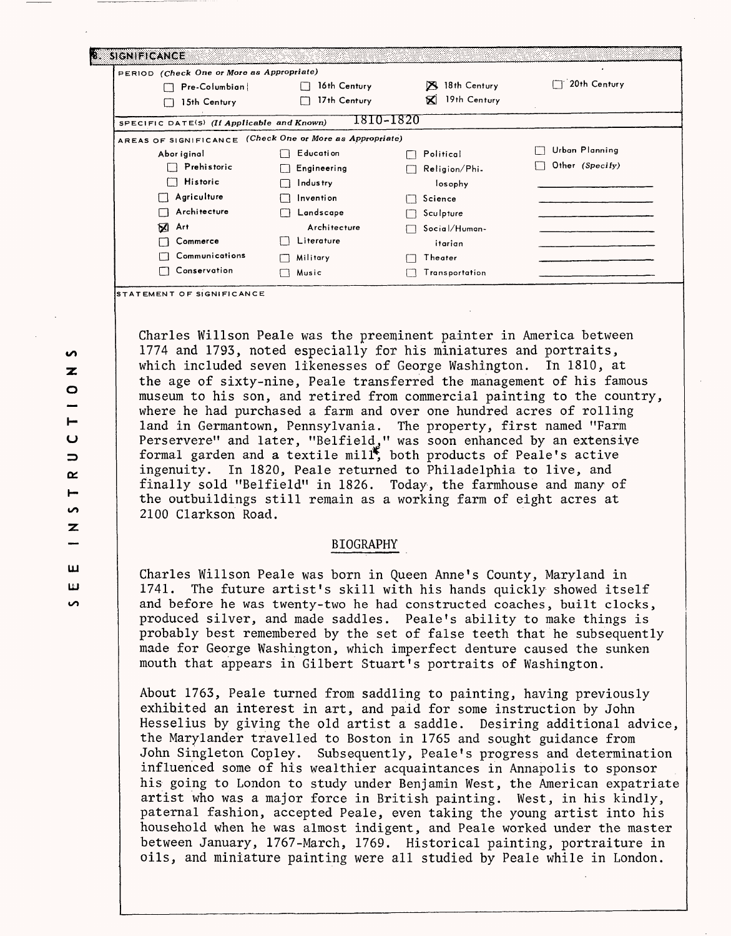| <b>EXIGNIFICANCE</b>                                     |              |                          |                 |
|----------------------------------------------------------|--------------|--------------------------|-----------------|
| PERIOD (Check One or More as Appropriate)                |              |                          |                 |
| $Pre-Columnbin$                                          | 16th Century | 18th Century<br><b>X</b> | 20th Century    |
| 15th Century                                             | 17th Century | 19th Century<br>K        |                 |
| SPECIFIC DATE(S) (If Applicable and Known)               |              | 1810-1820                |                 |
| AREAS OF SIGNIFICANCE (Check One or More as Appropriate) |              |                          |                 |
| Abor iginal                                              | E ducati on  | Political                | Urban Planning  |
| Prehistoric                                              | Engineering  | Religion/Phi-            | Other (Specify) |
| Historic                                                 | Industry     | losophy                  |                 |
| Agriculture<br>l 1                                       | Invention    | Science                  |                 |
| Architecture<br>П                                        | Landscape    | Sculpture                |                 |
| Ø<br>Art                                                 | Architecture | Social/Human-            |                 |
| Commerce                                                 | Literature   | itarian                  |                 |
| Communications                                           | Military     | Theater                  |                 |
| Conservation                                             | Music        | Transportation           |                 |

**TATEMENT OF SIGNIFICANCE** 

Charles Willson Peale was the preeminent painter in America between 1774 and 1793, noted especially for his miniatures and portraits, which included seven likenesses of George Washington. In 1810, at the age of sixty-nine, Peale transferred the management of his famous museum to his son, and retired from commercial painting to the country, where he had purchased a farm and over one hundred acres of rolling land in Germantown, Pennsylvania. The property, first named "Farm Perservere" and later, "Belfield," was soon enhanced by an extensive formal garden and a textile mill\*, both products of Peale's active ingenuity. In 1820, Peale returned to Philadelphia to live, and finally sold "Belfield" in 1826. Today, the farmhouse and many of the outbuildings still remain as a working farm of eight acres at 2100 Clarkson Road.

## BIOGRAPHY

Charles Willson Peale was born in Queen Anne's County, Maryland in 1741. The future artist's skill with his hands quickly showed itself and before he was twenty-two he had constructed coaches, built clocks, produced silver, and made saddles. Peale's ability to make things is probably best remembered by the set of false teeth that he subsequently made for George Washington, which imperfect denture caused the sunken mouth that appears in Gilbert Stuart's portraits of Washington.

About 1763, Peale turned from saddling to painting, having previously exhibited an interest in art, and paid for some instruction by John Hesselius by giving the old artist a saddle. Desiring additional advice, the Marylander travelled to Boston in 1765 and sought guidance from John Singleton Copley. Subsequently, Peale's progress and determination influenced some of his wealthier acquaintances in Annapolis to sponsor his going to London to study under Benjamin West, the American expatriate artist who was a major force in British painting. West, in his kindly, paternal fashion, accepted Peale, even taking the young artist into his household when he was almost indigent, and Peale worked under the master between January, 1767-March, 1769. Historical painting, portraiture in oils, and miniature painting were all studied by Peale while in London.

ທ  $\mathbf{z}$  $\circ$ Iu  $\Rightarrow$  $\alpha$  $\vdash$  $\overline{a}$  $\mathbf{z}$ **LU LJ co**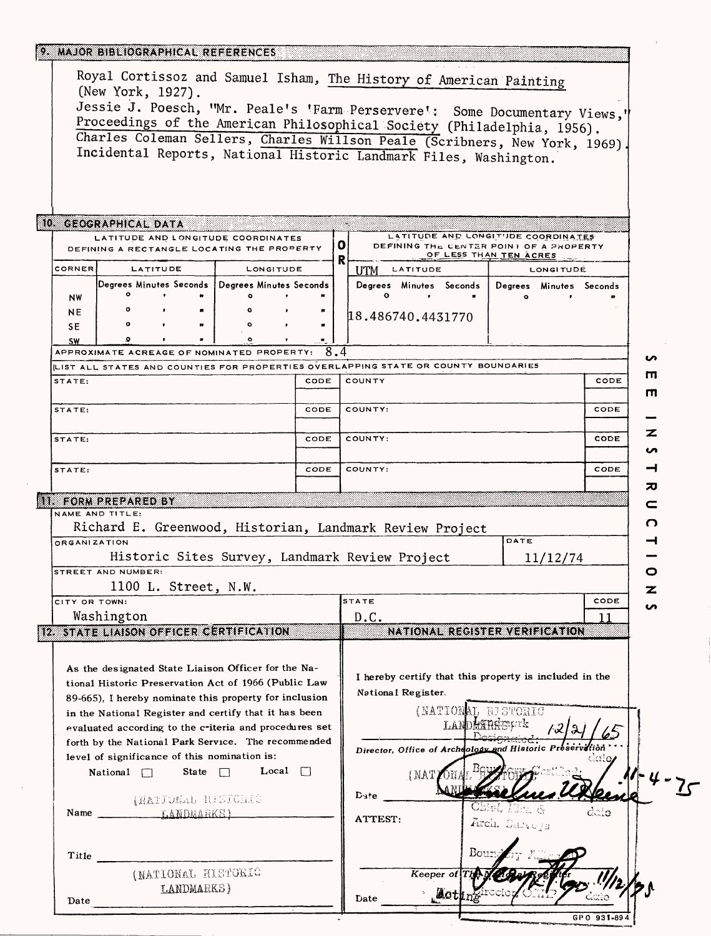## 9. MAJOR BIBLIOGRAPHICAL REFERENCES

| 10 GEOGRAPHICAL DATA<br>LATITUDE AND LONGITUDE COORDINATES<br>LATITUDE AND LONGITUDE COORDINATES<br>O.<br>DEFINING THE CENTER POINT OF A PROPERTY<br>DEFINING A RECTANGLE LOCATING THE PROPERTY<br>OF LESS THAN TEN ACRES<br>R<br>CORNER<br>LATITUDE<br>LONGITUDE<br>LATITUDE<br><b>LONGITUDE</b><br><b>UTM</b><br> Degrees Minutes Seconds   Degrees Minutes Seconds  <br>Degrees Minutes Seconds<br>Degrees Minutes Seconds<br>$\circ$<br>$\circ$<br>$\bullet$<br><b>NW</b><br>$\circ$<br><b>NE</b><br>18.486740.4431770<br>$\bullet$<br>Ω<br><b>SE</b><br>Ω<br><b>SW</b><br>$\overline{8.4}$<br>APPROXIMATE ACREAGE OF NOMINATED PROPERTY:<br>LIST ALL STATES AND COUNTIES FOR PROPERTIES OVERLAPPING STATE OR COUNTY BOUNDARIES<br>STATE:<br>CODE<br>COUNTY<br>CODE<br>STATE:<br>CODE<br>COUNTY:<br>CODE<br>CODE<br>COUNTY:<br>CODE<br>STATE:<br>COUNTY:<br>CODE<br>CODE<br>STATE:<br><b>II. FORM PREPARED BY</b><br>NAME AND TITLE:<br>Richard E. Greenwood, Historian, Landmark Review Project<br>DATE<br><b>ORGANIZATION</b><br>Historic Sites Survey, Landmark Review Project<br>11/12/74<br><b>STREET AND NUMBER:</b><br>1100 L. Street, N.W.<br><b>STATE</b><br>CODE<br>CITY OR TOWN:<br>Washington<br>D.C.<br><b>12. STATE LIAISON OFFICER CERTIFICATION</b><br>NATIONAL REGISTER VERIFICATION<br>As the designated State Liaison Officer for the Na-<br>I hereby certify that this property is included in the<br>tional Historic Preservation Act of 1966 (Public Law<br>National Register.<br>89-665). I hereby nominate this property for inclusion<br>(NATIONAL RISTORIC<br>in the National Register and certify that it has been<br>LANDHYRRETTE<br>evaluated according to the criteria and procedures set<br>forth by the National Park Service. The recommended<br>Director, Office of Archdology and Historic Preservation<br>level of significance of this nomination is:<br>Local $\Box$<br>State $\Box$<br>National $\Box$<br>(NAT)<br>${\bf D}$ ate<br>(NATIONAL RISTORIC<br>ೆದೂ<br>Name LANDMARKS)<br>ATTEST:<br>Arch. Sarveys<br>Bou<br>Title<br>(NATIONAL HISTORIC<br>Keeper of | Royal Cortissoz and Samuel Isham, The History of American Painting<br>(New York, 1927).<br>Jessie J. Poesch, "Mr. Peale's 'Farm Perservere': Some Documentary Views,'<br>Proceedings of the American Philosophical Society (Philadelphia, 1956).<br>Charles Coleman Sellers, Charles Willson Peale (Scribners, New York, 1969)<br>Incidental Reports, National Historic Landmark Files, Washington. |  |  |  |  |  |  |  |   |   |
|------------------------------------------------------------------------------------------------------------------------------------------------------------------------------------------------------------------------------------------------------------------------------------------------------------------------------------------------------------------------------------------------------------------------------------------------------------------------------------------------------------------------------------------------------------------------------------------------------------------------------------------------------------------------------------------------------------------------------------------------------------------------------------------------------------------------------------------------------------------------------------------------------------------------------------------------------------------------------------------------------------------------------------------------------------------------------------------------------------------------------------------------------------------------------------------------------------------------------------------------------------------------------------------------------------------------------------------------------------------------------------------------------------------------------------------------------------------------------------------------------------------------------------------------------------------------------------------------------------------------------------------------------------------------------------------------------------------------------------------------------------------------------------------------------------------------------------------------------------------------------------------------------------------------------------------------------------------------------------------------------------------------------------------------------------------------------------------------------------|-----------------------------------------------------------------------------------------------------------------------------------------------------------------------------------------------------------------------------------------------------------------------------------------------------------------------------------------------------------------------------------------------------|--|--|--|--|--|--|--|---|---|
|                                                                                                                                                                                                                                                                                                                                                                                                                                                                                                                                                                                                                                                                                                                                                                                                                                                                                                                                                                                                                                                                                                                                                                                                                                                                                                                                                                                                                                                                                                                                                                                                                                                                                                                                                                                                                                                                                                                                                                                                                                                                                                            |                                                                                                                                                                                                                                                                                                                                                                                                     |  |  |  |  |  |  |  |   |   |
|                                                                                                                                                                                                                                                                                                                                                                                                                                                                                                                                                                                                                                                                                                                                                                                                                                                                                                                                                                                                                                                                                                                                                                                                                                                                                                                                                                                                                                                                                                                                                                                                                                                                                                                                                                                                                                                                                                                                                                                                                                                                                                            |                                                                                                                                                                                                                                                                                                                                                                                                     |  |  |  |  |  |  |  |   |   |
|                                                                                                                                                                                                                                                                                                                                                                                                                                                                                                                                                                                                                                                                                                                                                                                                                                                                                                                                                                                                                                                                                                                                                                                                                                                                                                                                                                                                                                                                                                                                                                                                                                                                                                                                                                                                                                                                                                                                                                                                                                                                                                            |                                                                                                                                                                                                                                                                                                                                                                                                     |  |  |  |  |  |  |  |   |   |
|                                                                                                                                                                                                                                                                                                                                                                                                                                                                                                                                                                                                                                                                                                                                                                                                                                                                                                                                                                                                                                                                                                                                                                                                                                                                                                                                                                                                                                                                                                                                                                                                                                                                                                                                                                                                                                                                                                                                                                                                                                                                                                            |                                                                                                                                                                                                                                                                                                                                                                                                     |  |  |  |  |  |  |  |   |   |
|                                                                                                                                                                                                                                                                                                                                                                                                                                                                                                                                                                                                                                                                                                                                                                                                                                                                                                                                                                                                                                                                                                                                                                                                                                                                                                                                                                                                                                                                                                                                                                                                                                                                                                                                                                                                                                                                                                                                                                                                                                                                                                            |                                                                                                                                                                                                                                                                                                                                                                                                     |  |  |  |  |  |  |  |   |   |
|                                                                                                                                                                                                                                                                                                                                                                                                                                                                                                                                                                                                                                                                                                                                                                                                                                                                                                                                                                                                                                                                                                                                                                                                                                                                                                                                                                                                                                                                                                                                                                                                                                                                                                                                                                                                                                                                                                                                                                                                                                                                                                            |                                                                                                                                                                                                                                                                                                                                                                                                     |  |  |  |  |  |  |  |   |   |
|                                                                                                                                                                                                                                                                                                                                                                                                                                                                                                                                                                                                                                                                                                                                                                                                                                                                                                                                                                                                                                                                                                                                                                                                                                                                                                                                                                                                                                                                                                                                                                                                                                                                                                                                                                                                                                                                                                                                                                                                                                                                                                            |                                                                                                                                                                                                                                                                                                                                                                                                     |  |  |  |  |  |  |  |   |   |
|                                                                                                                                                                                                                                                                                                                                                                                                                                                                                                                                                                                                                                                                                                                                                                                                                                                                                                                                                                                                                                                                                                                                                                                                                                                                                                                                                                                                                                                                                                                                                                                                                                                                                                                                                                                                                                                                                                                                                                                                                                                                                                            |                                                                                                                                                                                                                                                                                                                                                                                                     |  |  |  |  |  |  |  |   |   |
|                                                                                                                                                                                                                                                                                                                                                                                                                                                                                                                                                                                                                                                                                                                                                                                                                                                                                                                                                                                                                                                                                                                                                                                                                                                                                                                                                                                                                                                                                                                                                                                                                                                                                                                                                                                                                                                                                                                                                                                                                                                                                                            |                                                                                                                                                                                                                                                                                                                                                                                                     |  |  |  |  |  |  |  |   |   |
|                                                                                                                                                                                                                                                                                                                                                                                                                                                                                                                                                                                                                                                                                                                                                                                                                                                                                                                                                                                                                                                                                                                                                                                                                                                                                                                                                                                                                                                                                                                                                                                                                                                                                                                                                                                                                                                                                                                                                                                                                                                                                                            |                                                                                                                                                                                                                                                                                                                                                                                                     |  |  |  |  |  |  |  |   | n |
|                                                                                                                                                                                                                                                                                                                                                                                                                                                                                                                                                                                                                                                                                                                                                                                                                                                                                                                                                                                                                                                                                                                                                                                                                                                                                                                                                                                                                                                                                                                                                                                                                                                                                                                                                                                                                                                                                                                                                                                                                                                                                                            |                                                                                                                                                                                                                                                                                                                                                                                                     |  |  |  |  |  |  |  |   | ш |
|                                                                                                                                                                                                                                                                                                                                                                                                                                                                                                                                                                                                                                                                                                                                                                                                                                                                                                                                                                                                                                                                                                                                                                                                                                                                                                                                                                                                                                                                                                                                                                                                                                                                                                                                                                                                                                                                                                                                                                                                                                                                                                            |                                                                                                                                                                                                                                                                                                                                                                                                     |  |  |  |  |  |  |  |   |   |
|                                                                                                                                                                                                                                                                                                                                                                                                                                                                                                                                                                                                                                                                                                                                                                                                                                                                                                                                                                                                                                                                                                                                                                                                                                                                                                                                                                                                                                                                                                                                                                                                                                                                                                                                                                                                                                                                                                                                                                                                                                                                                                            |                                                                                                                                                                                                                                                                                                                                                                                                     |  |  |  |  |  |  |  |   | п |
|                                                                                                                                                                                                                                                                                                                                                                                                                                                                                                                                                                                                                                                                                                                                                                                                                                                                                                                                                                                                                                                                                                                                                                                                                                                                                                                                                                                                                                                                                                                                                                                                                                                                                                                                                                                                                                                                                                                                                                                                                                                                                                            |                                                                                                                                                                                                                                                                                                                                                                                                     |  |  |  |  |  |  |  |   |   |
|                                                                                                                                                                                                                                                                                                                                                                                                                                                                                                                                                                                                                                                                                                                                                                                                                                                                                                                                                                                                                                                                                                                                                                                                                                                                                                                                                                                                                                                                                                                                                                                                                                                                                                                                                                                                                                                                                                                                                                                                                                                                                                            |                                                                                                                                                                                                                                                                                                                                                                                                     |  |  |  |  |  |  |  |   | z |
|                                                                                                                                                                                                                                                                                                                                                                                                                                                                                                                                                                                                                                                                                                                                                                                                                                                                                                                                                                                                                                                                                                                                                                                                                                                                                                                                                                                                                                                                                                                                                                                                                                                                                                                                                                                                                                                                                                                                                                                                                                                                                                            |                                                                                                                                                                                                                                                                                                                                                                                                     |  |  |  |  |  |  |  |   |   |
|                                                                                                                                                                                                                                                                                                                                                                                                                                                                                                                                                                                                                                                                                                                                                                                                                                                                                                                                                                                                                                                                                                                                                                                                                                                                                                                                                                                                                                                                                                                                                                                                                                                                                                                                                                                                                                                                                                                                                                                                                                                                                                            |                                                                                                                                                                                                                                                                                                                                                                                                     |  |  |  |  |  |  |  |   |   |
|                                                                                                                                                                                                                                                                                                                                                                                                                                                                                                                                                                                                                                                                                                                                                                                                                                                                                                                                                                                                                                                                                                                                                                                                                                                                                                                                                                                                                                                                                                                                                                                                                                                                                                                                                                                                                                                                                                                                                                                                                                                                                                            |                                                                                                                                                                                                                                                                                                                                                                                                     |  |  |  |  |  |  |  |   |   |
|                                                                                                                                                                                                                                                                                                                                                                                                                                                                                                                                                                                                                                                                                                                                                                                                                                                                                                                                                                                                                                                                                                                                                                                                                                                                                                                                                                                                                                                                                                                                                                                                                                                                                                                                                                                                                                                                                                                                                                                                                                                                                                            |                                                                                                                                                                                                                                                                                                                                                                                                     |  |  |  |  |  |  |  | ᅍ |   |
|                                                                                                                                                                                                                                                                                                                                                                                                                                                                                                                                                                                                                                                                                                                                                                                                                                                                                                                                                                                                                                                                                                                                                                                                                                                                                                                                                                                                                                                                                                                                                                                                                                                                                                                                                                                                                                                                                                                                                                                                                                                                                                            |                                                                                                                                                                                                                                                                                                                                                                                                     |  |  |  |  |  |  |  |   | c |
|                                                                                                                                                                                                                                                                                                                                                                                                                                                                                                                                                                                                                                                                                                                                                                                                                                                                                                                                                                                                                                                                                                                                                                                                                                                                                                                                                                                                                                                                                                                                                                                                                                                                                                                                                                                                                                                                                                                                                                                                                                                                                                            |                                                                                                                                                                                                                                                                                                                                                                                                     |  |  |  |  |  |  |  |   | О |
|                                                                                                                                                                                                                                                                                                                                                                                                                                                                                                                                                                                                                                                                                                                                                                                                                                                                                                                                                                                                                                                                                                                                                                                                                                                                                                                                                                                                                                                                                                                                                                                                                                                                                                                                                                                                                                                                                                                                                                                                                                                                                                            |                                                                                                                                                                                                                                                                                                                                                                                                     |  |  |  |  |  |  |  |   |   |
|                                                                                                                                                                                                                                                                                                                                                                                                                                                                                                                                                                                                                                                                                                                                                                                                                                                                                                                                                                                                                                                                                                                                                                                                                                                                                                                                                                                                                                                                                                                                                                                                                                                                                                                                                                                                                                                                                                                                                                                                                                                                                                            |                                                                                                                                                                                                                                                                                                                                                                                                     |  |  |  |  |  |  |  |   |   |
|                                                                                                                                                                                                                                                                                                                                                                                                                                                                                                                                                                                                                                                                                                                                                                                                                                                                                                                                                                                                                                                                                                                                                                                                                                                                                                                                                                                                                                                                                                                                                                                                                                                                                                                                                                                                                                                                                                                                                                                                                                                                                                            |                                                                                                                                                                                                                                                                                                                                                                                                     |  |  |  |  |  |  |  |   | О |
|                                                                                                                                                                                                                                                                                                                                                                                                                                                                                                                                                                                                                                                                                                                                                                                                                                                                                                                                                                                                                                                                                                                                                                                                                                                                                                                                                                                                                                                                                                                                                                                                                                                                                                                                                                                                                                                                                                                                                                                                                                                                                                            |                                                                                                                                                                                                                                                                                                                                                                                                     |  |  |  |  |  |  |  |   | z |
|                                                                                                                                                                                                                                                                                                                                                                                                                                                                                                                                                                                                                                                                                                                                                                                                                                                                                                                                                                                                                                                                                                                                                                                                                                                                                                                                                                                                                                                                                                                                                                                                                                                                                                                                                                                                                                                                                                                                                                                                                                                                                                            |                                                                                                                                                                                                                                                                                                                                                                                                     |  |  |  |  |  |  |  |   |   |
|                                                                                                                                                                                                                                                                                                                                                                                                                                                                                                                                                                                                                                                                                                                                                                                                                                                                                                                                                                                                                                                                                                                                                                                                                                                                                                                                                                                                                                                                                                                                                                                                                                                                                                                                                                                                                                                                                                                                                                                                                                                                                                            |                                                                                                                                                                                                                                                                                                                                                                                                     |  |  |  |  |  |  |  |   | ഗ |
|                                                                                                                                                                                                                                                                                                                                                                                                                                                                                                                                                                                                                                                                                                                                                                                                                                                                                                                                                                                                                                                                                                                                                                                                                                                                                                                                                                                                                                                                                                                                                                                                                                                                                                                                                                                                                                                                                                                                                                                                                                                                                                            |                                                                                                                                                                                                                                                                                                                                                                                                     |  |  |  |  |  |  |  |   |   |
|                                                                                                                                                                                                                                                                                                                                                                                                                                                                                                                                                                                                                                                                                                                                                                                                                                                                                                                                                                                                                                                                                                                                                                                                                                                                                                                                                                                                                                                                                                                                                                                                                                                                                                                                                                                                                                                                                                                                                                                                                                                                                                            |                                                                                                                                                                                                                                                                                                                                                                                                     |  |  |  |  |  |  |  |   |   |
|                                                                                                                                                                                                                                                                                                                                                                                                                                                                                                                                                                                                                                                                                                                                                                                                                                                                                                                                                                                                                                                                                                                                                                                                                                                                                                                                                                                                                                                                                                                                                                                                                                                                                                                                                                                                                                                                                                                                                                                                                                                                                                            |                                                                                                                                                                                                                                                                                                                                                                                                     |  |  |  |  |  |  |  |   |   |
|                                                                                                                                                                                                                                                                                                                                                                                                                                                                                                                                                                                                                                                                                                                                                                                                                                                                                                                                                                                                                                                                                                                                                                                                                                                                                                                                                                                                                                                                                                                                                                                                                                                                                                                                                                                                                                                                                                                                                                                                                                                                                                            |                                                                                                                                                                                                                                                                                                                                                                                                     |  |  |  |  |  |  |  |   |   |
|                                                                                                                                                                                                                                                                                                                                                                                                                                                                                                                                                                                                                                                                                                                                                                                                                                                                                                                                                                                                                                                                                                                                                                                                                                                                                                                                                                                                                                                                                                                                                                                                                                                                                                                                                                                                                                                                                                                                                                                                                                                                                                            |                                                                                                                                                                                                                                                                                                                                                                                                     |  |  |  |  |  |  |  |   |   |
|                                                                                                                                                                                                                                                                                                                                                                                                                                                                                                                                                                                                                                                                                                                                                                                                                                                                                                                                                                                                                                                                                                                                                                                                                                                                                                                                                                                                                                                                                                                                                                                                                                                                                                                                                                                                                                                                                                                                                                                                                                                                                                            |                                                                                                                                                                                                                                                                                                                                                                                                     |  |  |  |  |  |  |  |   |   |
|                                                                                                                                                                                                                                                                                                                                                                                                                                                                                                                                                                                                                                                                                                                                                                                                                                                                                                                                                                                                                                                                                                                                                                                                                                                                                                                                                                                                                                                                                                                                                                                                                                                                                                                                                                                                                                                                                                                                                                                                                                                                                                            |                                                                                                                                                                                                                                                                                                                                                                                                     |  |  |  |  |  |  |  |   |   |
|                                                                                                                                                                                                                                                                                                                                                                                                                                                                                                                                                                                                                                                                                                                                                                                                                                                                                                                                                                                                                                                                                                                                                                                                                                                                                                                                                                                                                                                                                                                                                                                                                                                                                                                                                                                                                                                                                                                                                                                                                                                                                                            |                                                                                                                                                                                                                                                                                                                                                                                                     |  |  |  |  |  |  |  |   |   |
|                                                                                                                                                                                                                                                                                                                                                                                                                                                                                                                                                                                                                                                                                                                                                                                                                                                                                                                                                                                                                                                                                                                                                                                                                                                                                                                                                                                                                                                                                                                                                                                                                                                                                                                                                                                                                                                                                                                                                                                                                                                                                                            |                                                                                                                                                                                                                                                                                                                                                                                                     |  |  |  |  |  |  |  |   |   |
|                                                                                                                                                                                                                                                                                                                                                                                                                                                                                                                                                                                                                                                                                                                                                                                                                                                                                                                                                                                                                                                                                                                                                                                                                                                                                                                                                                                                                                                                                                                                                                                                                                                                                                                                                                                                                                                                                                                                                                                                                                                                                                            |                                                                                                                                                                                                                                                                                                                                                                                                     |  |  |  |  |  |  |  |   |   |
|                                                                                                                                                                                                                                                                                                                                                                                                                                                                                                                                                                                                                                                                                                                                                                                                                                                                                                                                                                                                                                                                                                                                                                                                                                                                                                                                                                                                                                                                                                                                                                                                                                                                                                                                                                                                                                                                                                                                                                                                                                                                                                            |                                                                                                                                                                                                                                                                                                                                                                                                     |  |  |  |  |  |  |  |   |   |
|                                                                                                                                                                                                                                                                                                                                                                                                                                                                                                                                                                                                                                                                                                                                                                                                                                                                                                                                                                                                                                                                                                                                                                                                                                                                                                                                                                                                                                                                                                                                                                                                                                                                                                                                                                                                                                                                                                                                                                                                                                                                                                            |                                                                                                                                                                                                                                                                                                                                                                                                     |  |  |  |  |  |  |  |   |   |
| LANDMARKS)                                                                                                                                                                                                                                                                                                                                                                                                                                                                                                                                                                                                                                                                                                                                                                                                                                                                                                                                                                                                                                                                                                                                                                                                                                                                                                                                                                                                                                                                                                                                                                                                                                                                                                                                                                                                                                                                                                                                                                                                                                                                                                 |                                                                                                                                                                                                                                                                                                                                                                                                     |  |  |  |  |  |  |  |   |   |
| <b>Actr</b><br>Date<br>Date                                                                                                                                                                                                                                                                                                                                                                                                                                                                                                                                                                                                                                                                                                                                                                                                                                                                                                                                                                                                                                                                                                                                                                                                                                                                                                                                                                                                                                                                                                                                                                                                                                                                                                                                                                                                                                                                                                                                                                                                                                                                                |                                                                                                                                                                                                                                                                                                                                                                                                     |  |  |  |  |  |  |  |   |   |

GPO 931-894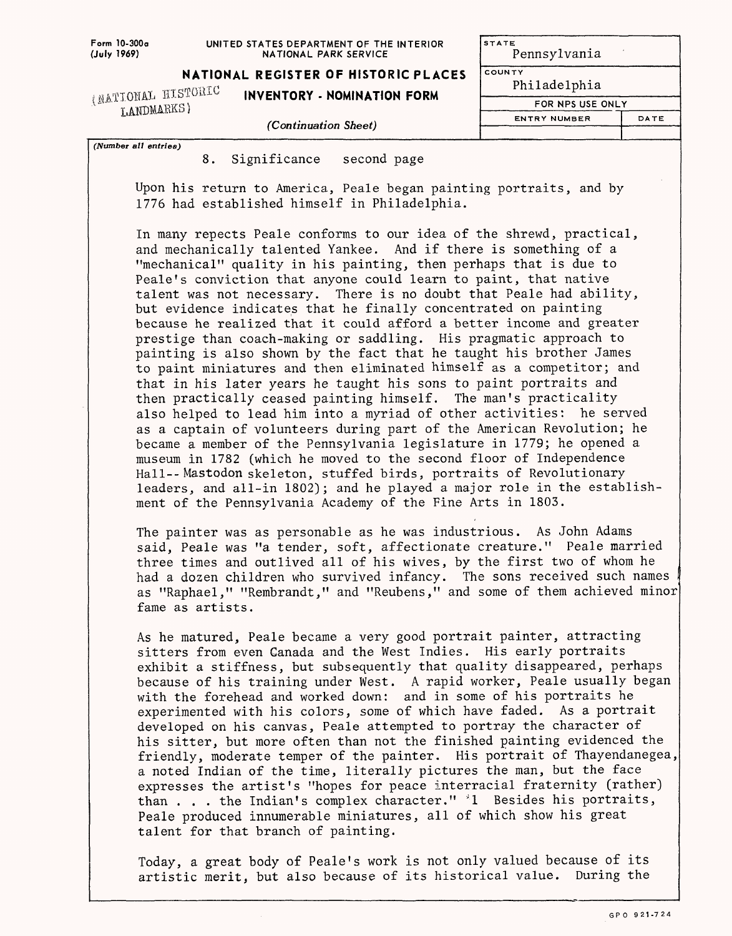## **UNITED STATES DEPARTMENT OF THE INTERIOR NATIONAL PARK SERVICE**

**NATIONAL REGISTER OF HISTORIC PLACES**<br>(NATIONAL HISTORIC **INVENTORY - NOMINATION FORM** 

 $_{\rm LANDMAERSS}$  **INVENTORY - NOMINATION FORM** 

*(Number all entries)*

| STATE<br>Pennsylvania |      |  |  |  |  |
|-----------------------|------|--|--|--|--|
| COUNTY                |      |  |  |  |  |
| Philadelphia          |      |  |  |  |  |
| FOR NPS USE ONLY      |      |  |  |  |  |
| ENTRY NUMBER          | DATE |  |  |  |  |
|                       |      |  |  |  |  |

*(Continuation Sheet)*

8. Significance second page

Upon his return to America, Peale began painting portraits, and by 1776 had established himself in Philadelphia.

In many repects Peale conforms to our idea of the shrewd, practical, and mechanically talented Yankee. And if there is something of a "mechanical" quality in his painting, then perhaps that is due to Peale's conviction that anyone could learn to paint, that native talent was not necessary. There is no doubt that Peale had ability, but evidence indicates that he finally concentrated on painting because he realized that it could afford a better income and greater prestige than coach-making or saddling. His pragmatic approach to painting is also shown by the fact that he taught his brother James to paint miniatures and then eliminated himself as a competitor; and that in his later years he taught his sons to paint portraits and then practically ceased painting himself. The man's practicality also helped to lead him into a myriad of other activities: he served as a captain of volunteers during part of the American Revolution; he became a member of the Pennsylvania legislature in 1779; he opened a museum in 1782 (which he moved to the second floor of Independence Hall--Mastodon skeleton, stuffed birds, portraits of Revolutionary leaders, and all-in 1802); and he played a major role in the establishment of the Pennsylvania Academy of the Fine Arts in 1803.

The painter was as personable as he was industrious. As John Adams said, Peale was "a tender, soft, affectionate creature." Peale married three times and outlived all of his wives, by the first two of whom he had a dozen children who survived infancy. The sons received such names as "Raphael," "Rembrandt," and "Reubens," and some of them achieved minor fame as artists.

As he matured, Peale became a very good portrait painter, attracting sitters from even Canada and the West Indies. His early portraits exhibit a stiffness, but subsequently that quality disappeared, perhaps because of his training under West. A rapid worker, Peale usually began with the forehead and worked down: and in some of his portraits he experimented with his colors, some of which have faded. As a portrait developed on his canvas, Peale attempted to portray the character of his sitter, but more often than not the finished painting evidenced the friendly, moderate temper of the painter. His portrait of Thayendanegea, a noted Indian of the time, literally pictures the man, but the face expresses the artist's "hopes for peace interracial fraternity (rather) than . . . the Indian's complex character." \*1 Besides his portraits, Peale produced innumerable miniatures, all of which show his great talent for that branch of painting.

Today, a great body of Peale's work is not only valued because of its artistic merit, but also because of its historical value. During the